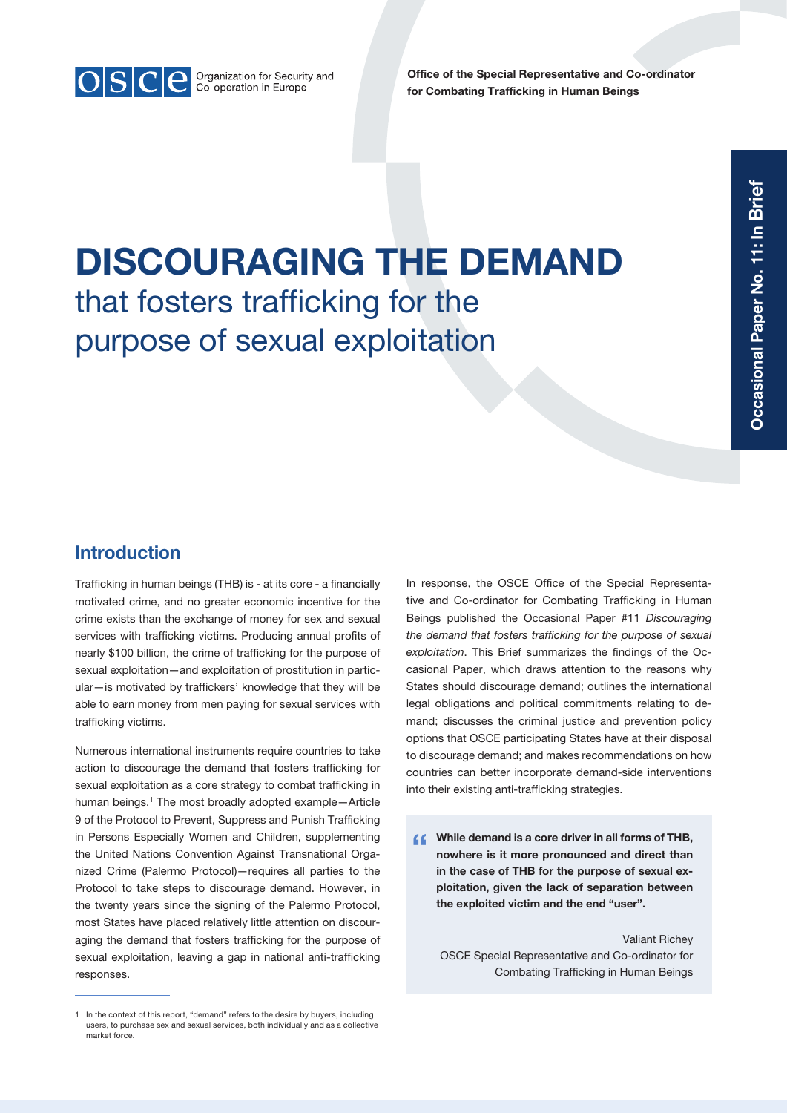

Office of the Special Representative and Co-ordinator for Combating Trafficking in Human Beings

# DISCOURAGING THE DEMAND that fosters trafficking for the purpose of sexual exploitation

# Introduction

Trafficking in human beings (THB) is - at its core - a financially motivated crime, and no greater economic incentive for the crime exists than the exchange of money for sex and sexual services with trafficking victims. Producing annual profits of nearly \$100 billion, the crime of trafficking for the purpose of sexual exploitation—and exploitation of prostitution in particular—is motivated by traffickers' knowledge that they will be able to earn money from men paying for sexual services with trafficking victims.

Numerous international instruments require countries to take action to discourage the demand that fosters trafficking for sexual exploitation as a core strategy to combat trafficking in human beings.<sup>1</sup> The most broadly adopted example-Article 9 of the Protocol to Prevent, Suppress and Punish Trafficking in Persons Especially Women and Children, supplementing the United Nations Convention Against Transnational Organized Crime (Palermo Protocol)—requires all parties to the Protocol to take steps to discourage demand. However, in the twenty years since the signing of the Palermo Protocol, most States have placed relatively little attention on discouraging the demand that fosters trafficking for the purpose of sexual exploitation, leaving a gap in national anti-trafficking responses.

In response, the OSCE Office of the Special Representative and Co-ordinator for Combating Trafficking in Human Beings published the Occasional Paper #11 *Discouraging the demand that fosters trafficking for the purpose of sexual exploitation*. This Brief summarizes the findings of the Occasional Paper, which draws attention to the reasons why States should discourage demand; outlines the international legal obligations and political commitments relating to demand; discusses the criminal justice and prevention policy options that OSCE participating States have at their disposal to discourage demand; and makes recommendations on how countries can better incorporate demand-side interventions into their existing anti-trafficking strategies.

 $\alpha$  While demand is a core driver in all forms of THB, nowhere is it more pronounced and direct than in the case of THB for the purpose of sexual exploitation, given the lack of separation between the exploited victim and the end "user".

Valiant Richey OSCE Special Representative and Co-ordinator for Combating Trafficking in Human Beings

<sup>1</sup> In the context of this report, "demand" refers to the desire by buyers, including users, to purchase sex and sexual services, both individually and as a collective market force.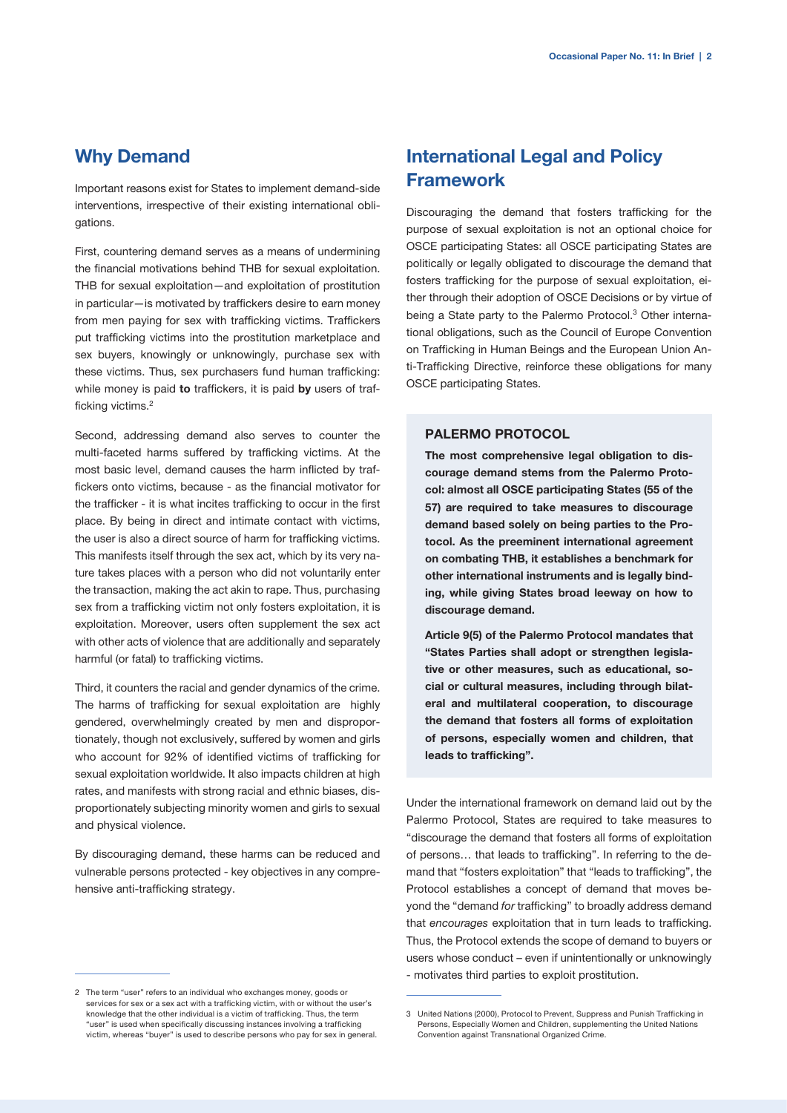## Why Demand

Important reasons exist for States to implement demand-side interventions, irrespective of their existing international obligations.

First, countering demand serves as a means of undermining the financial motivations behind THB for sexual exploitation. THB for sexual exploitation—and exploitation of prostitution in particular—is motivated by traffickers desire to earn money from men paying for sex with trafficking victims. Traffickers put trafficking victims into the prostitution marketplace and sex buyers, knowingly or unknowingly, purchase sex with these victims. Thus, sex purchasers fund human trafficking: while money is paid to traffickers, it is paid by users of trafficking victims.2

Second, addressing demand also serves to counter the multi-faceted harms suffered by trafficking victims. At the most basic level, demand causes the harm inflicted by traffickers onto victims, because - as the financial motivator for the trafficker - it is what incites trafficking to occur in the first place. By being in direct and intimate contact with victims, the user is also a direct source of harm for trafficking victims. This manifests itself through the sex act, which by its very nature takes places with a person who did not voluntarily enter the transaction, making the act akin to rape. Thus, purchasing sex from a trafficking victim not only fosters exploitation, it is exploitation. Moreover, users often supplement the sex act with other acts of violence that are additionally and separately harmful (or fatal) to trafficking victims.

Third, it counters the racial and gender dynamics of the crime. The harms of trafficking for sexual exploitation are highly gendered, overwhelmingly created by men and disproportionately, though not exclusively, suffered by women and girls who account for 92% of identified victims of trafficking for sexual exploitation worldwide. It also impacts children at high rates, and manifests with strong racial and ethnic biases, disproportionately subjecting minority women and girls to sexual and physical violence.

By discouraging demand, these harms can be reduced and vulnerable persons protected - key objectives in any comprehensive anti-trafficking strategy.

# International Legal and Policy **Framework**

Discouraging the demand that fosters trafficking for the purpose of sexual exploitation is not an optional choice for OSCE participating States: all OSCE participating States are politically or legally obligated to discourage the demand that fosters trafficking for the purpose of sexual exploitation, either through their adoption of OSCE Decisions or by virtue of being a State party to the Palermo Protocol.<sup>3</sup> Other international obligations, such as the Council of Europe Convention on Trafficking in Human Beings and the European Union Anti-Trafficking Directive, reinforce these obligations for many OSCE participating States.

#### PALERMO PROTOCOL

The most comprehensive legal obligation to discourage demand stems from the Palermo Protocol: almost all OSCE participating States (55 of the 57) are required to take measures to discourage demand based solely on being parties to the Protocol. As the preeminent international agreement on combating THB, it establishes a benchmark for other international instruments and is legally binding, while giving States broad leeway on how to discourage demand.

Article 9(5) of the Palermo Protocol mandates that "States Parties shall adopt or strengthen legislative or other measures, such as educational, social or cultural measures, including through bilateral and multilateral cooperation, to discourage the demand that fosters all forms of exploitation of persons, especially women and children, that leads to trafficking".

Under the international framework on demand laid out by the Palermo Protocol, States are required to take measures to "discourage the demand that fosters all forms of exploitation of persons… that leads to trafficking". In referring to the demand that "fosters exploitation" that "leads to trafficking", the Protocol establishes a concept of demand that moves beyond the "demand *for* trafficking" to broadly address demand that *encourages* exploitation that in turn leads to trafficking. Thus, the Protocol extends the scope of demand to buyers or users whose conduct – even if unintentionally or unknowingly - motivates third parties to exploit prostitution.

<sup>2</sup> The term "user" refers to an individual who exchanges money, goods or services for sex or a sex act with a trafficking victim, with or without the user's knowledge that the other individual is a victim of trafficking. Thus, the term "user" is used when specifically discussing instances involving a trafficking victim, whereas "buyer" is used to describe persons who pay for sex in general.

<sup>3</sup> United Nations (2000), Protocol to Prevent, Suppress and Punish Trafficking in Persons, Especially Women and Children, supplementing the United Nations Convention against Transnational Organized Crime.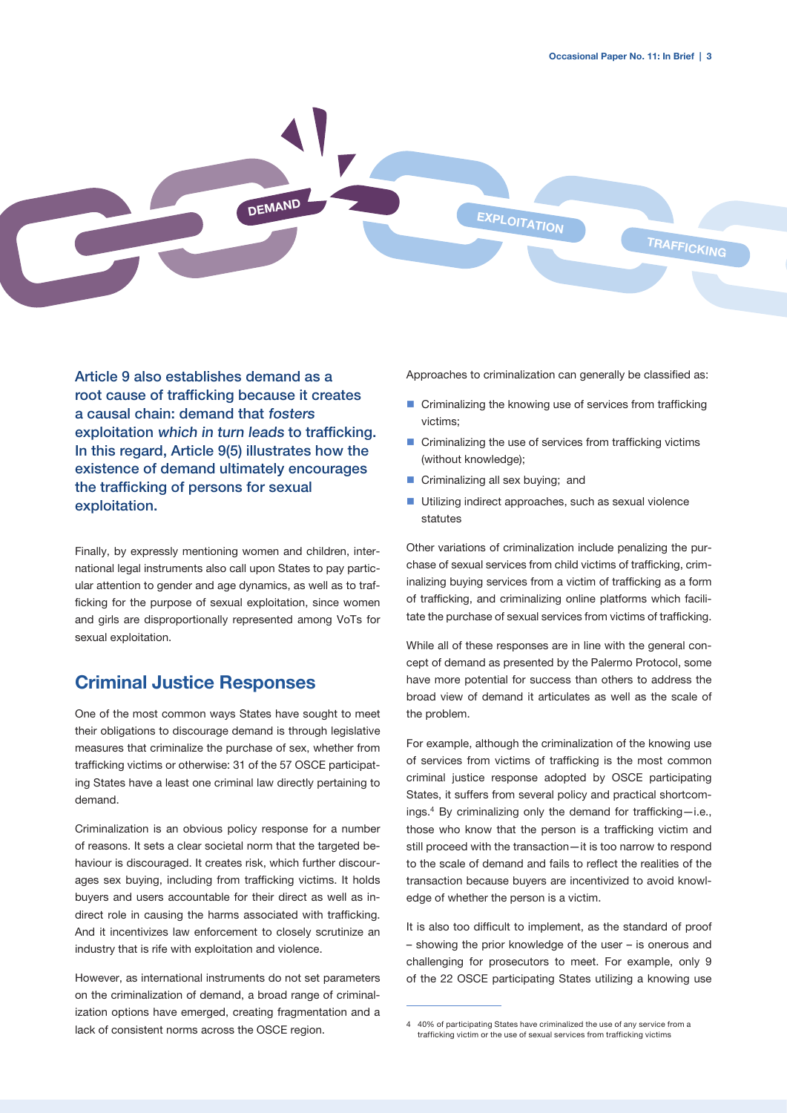

Article 9 also establishes demand as a root cause of trafficking because it creates a causal chain: demand that fosters exploitation which in turn leads to trafficking. In this regard, Article 9(5) illustrates how the existence of demand ultimately encourages the trafficking of persons for sexual exploitation.

Finally, by expressly mentioning women and children, international legal instruments also call upon States to pay particular attention to gender and age dynamics, as well as to trafficking for the purpose of sexual exploitation, since women and girls are disproportionally represented among VoTs for sexual exploitation.

## Criminal Justice Responses

One of the most common ways States have sought to meet their obligations to discourage demand is through legislative measures that criminalize the purchase of sex, whether from trafficking victims or otherwise: 31 of the 57 OSCE participating States have a least one criminal law directly pertaining to demand.

Criminalization is an obvious policy response for a number of reasons. It sets a clear societal norm that the targeted behaviour is discouraged. It creates risk, which further discourages sex buying, including from trafficking victims. It holds buyers and users accountable for their direct as well as indirect role in causing the harms associated with trafficking. And it incentivizes law enforcement to closely scrutinize an industry that is rife with exploitation and violence.

However, as international instruments do not set parameters on the criminalization of demand, a broad range of criminalization options have emerged, creating fragmentation and a lack of consistent norms across the OSCE region.

Approaches to criminalization can generally be classified as:

- Criminalizing the knowing use of services from trafficking victims;
- $\blacksquare$  Criminalizing the use of services from trafficking victims (without knowledge);
- **Criminalizing all sex buying; and**
- Utilizing indirect approaches, such as sexual violence statutes

Other variations of criminalization include penalizing the purchase of sexual services from child victims of trafficking, criminalizing buying services from a victim of trafficking as a form of trafficking, and criminalizing online platforms which facilitate the purchase of sexual services from victims of trafficking.

While all of these responses are in line with the general concept of demand as presented by the Palermo Protocol, some have more potential for success than others to address the broad view of demand it articulates as well as the scale of the problem.

For example, although the criminalization of the knowing use of services from victims of trafficking is the most common criminal justice response adopted by OSCE participating States, it suffers from several policy and practical shortcomings.<sup>4</sup> By criminalizing only the demand for trafficking-i.e., those who know that the person is a trafficking victim and still proceed with the transaction—it is too narrow to respond to the scale of demand and fails to reflect the realities of the transaction because buyers are incentivized to avoid knowledge of whether the person is a victim.

It is also too difficult to implement, as the standard of proof – showing the prior knowledge of the user – is onerous and challenging for prosecutors to meet. For example, only 9 of the 22 OSCE participating States utilizing a knowing use

<sup>4</sup> 40% of participating States have criminalized the use of any service from a trafficking victim or the use of sexual services from trafficking victims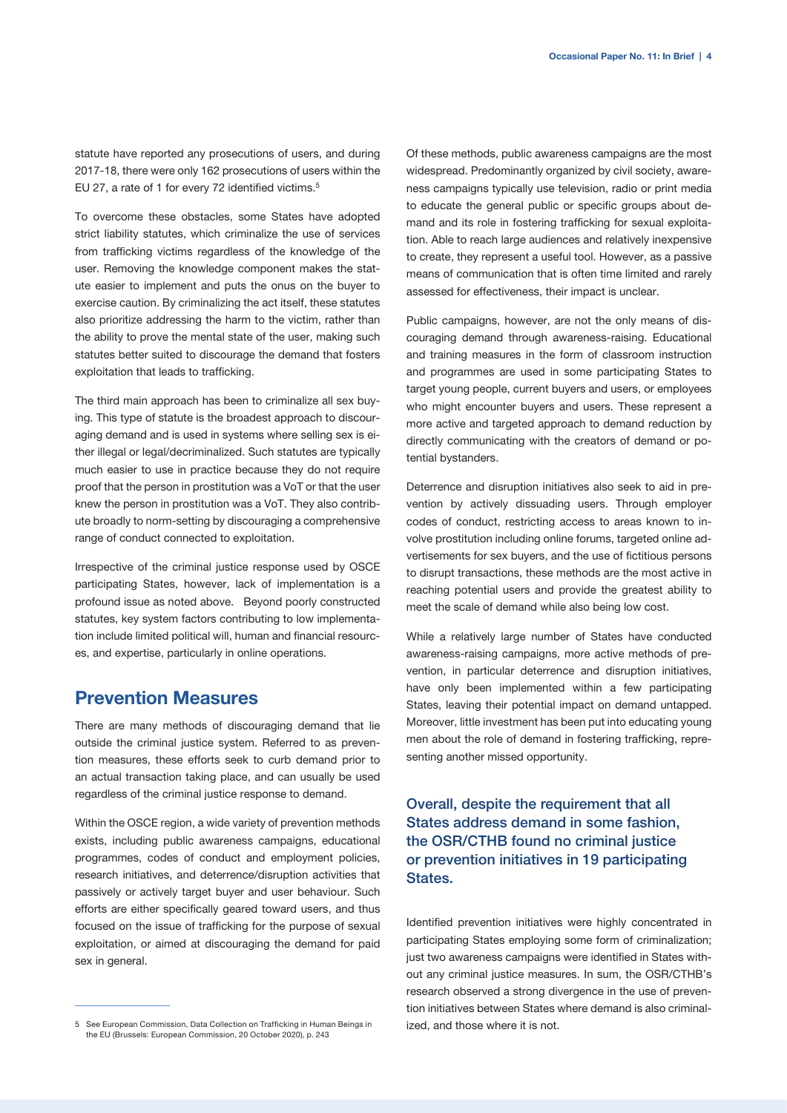statute have reported any prosecutions of users, and during 2017-18, there were only 162 prosecutions of users within the EU 27, a rate of 1 for every 72 identified victims.<sup>5</sup>

To overcome these obstacles, some States have adopted strict liability statutes, which criminalize the use of services from trafficking victims regardless of the knowledge of the user. Removing the knowledge component makes the statute easier to implement and puts the onus on the buyer to exercise caution. By criminalizing the act itself, these statutes also prioritize addressing the harm to the victim, rather than the ability to prove the mental state of the user, making such statutes better suited to discourage the demand that fosters exploitation that leads to trafficking.

The third main approach has been to criminalize all sex buying. This type of statute is the broadest approach to discouraging demand and is used in systems where selling sex is either illegal or legal/decriminalized. Such statutes are typically much easier to use in practice because they do not require proof that the person in prostitution was a VoT or that the user knew the person in prostitution was a VoT. They also contribute broadly to norm-setting by discouraging a comprehensive range of conduct connected to exploitation.

Irrespective of the criminal justice response used by OSCE participating States, however, lack of implementation is a profound issue as noted above. Beyond poorly constructed statutes, key system factors contributing to low implementation include limited political will, human and financial resources, and expertise, particularly in online operations.

## Prevention Measures

There are many methods of discouraging demand that lie outside the criminal justice system. Referred to as prevention measures, these efforts seek to curb demand prior to an actual transaction taking place, and can usually be used regardless of the criminal justice response to demand.

Within the OSCE region, a wide variety of prevention methods exists, including public awareness campaigns, educational programmes, codes of conduct and employment policies, research initiatives, and deterrence/disruption activities that passively or actively target buyer and user behaviour. Such efforts are either specifically geared toward users, and thus focused on the issue of trafficking for the purpose of sexual exploitation, or aimed at discouraging the demand for paid sex in general.

Of these methods, public awareness campaigns are the most widespread. Predominantly organized by civil society, awareness campaigns typically use television, radio or print media to educate the general public or specific groups about demand and its role in fostering trafficking for sexual exploitation. Able to reach large audiences and relatively inexpensive to create, they represent a useful tool. However, as a passive means of communication that is often time limited and rarely assessed for effectiveness, their impact is unclear.

Public campaigns, however, are not the only means of discouraging demand through awareness-raising. Educational and training measures in the form of classroom instruction and programmes are used in some participating States to target young people, current buyers and users, or employees who might encounter buyers and users. These represent a more active and targeted approach to demand reduction by directly communicating with the creators of demand or potential bystanders.

Deterrence and disruption initiatives also seek to aid in prevention by actively dissuading users. Through employer codes of conduct, restricting access to areas known to involve prostitution including online forums, targeted online advertisements for sex buyers, and the use of fictitious persons to disrupt transactions, these methods are the most active in reaching potential users and provide the greatest ability to meet the scale of demand while also being low cost.

While a relatively large number of States have conducted awareness-raising campaigns, more active methods of prevention, in particular deterrence and disruption initiatives, have only been implemented within a few participating States, leaving their potential impact on demand untapped. Moreover, little investment has been put into educating young men about the role of demand in fostering trafficking, representing another missed opportunity.

Overall, despite the requirement that all States address demand in some fashion, the OSR/CTHB found no criminal justice or prevention initiatives in 19 participating States.

Identified prevention initiatives were highly concentrated in participating States employing some form of criminalization; just two awareness campaigns were identified in States without any criminal justice measures. In sum, the OSR/CTHB's research observed a strong divergence in the use of prevention initiatives between States where demand is also criminalized, and those where it is not.

<sup>5</sup> See European Commission, Data Collection on Trafficking in Human Beings in the EU (Brussels: European Commission, 20 October 2020), p. 243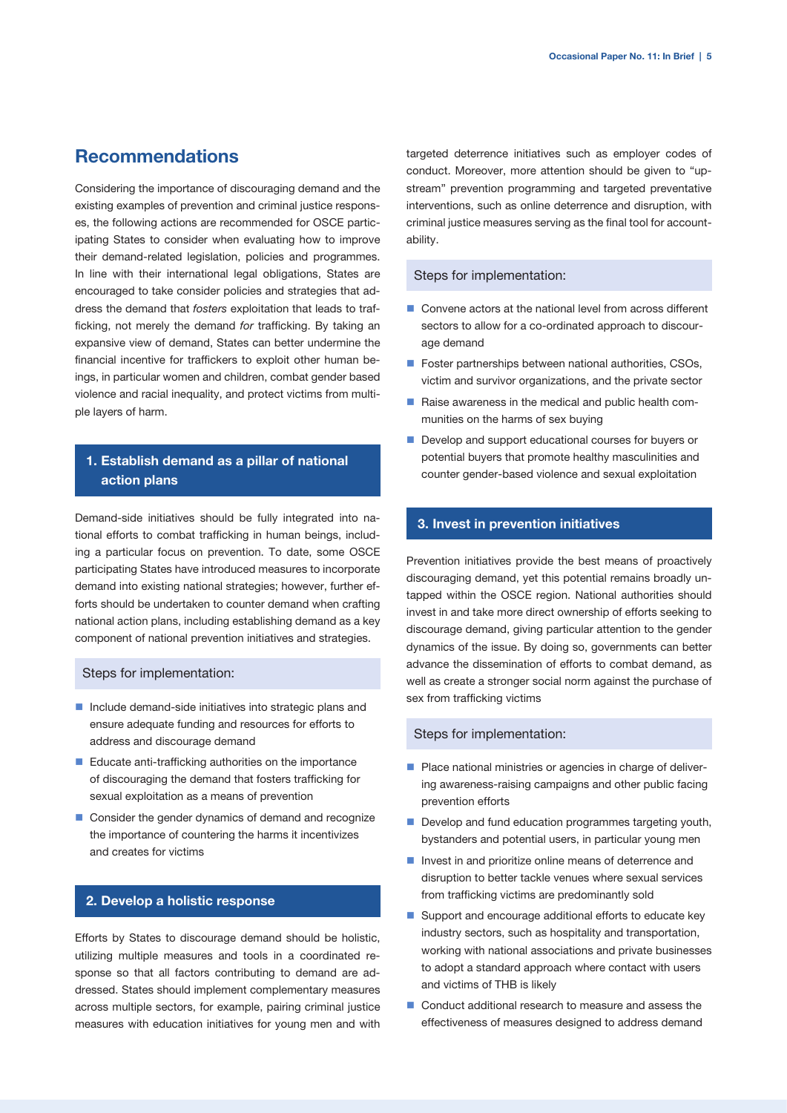## Recommendations

Considering the importance of discouraging demand and the existing examples of prevention and criminal justice responses, the following actions are recommended for OSCE participating States to consider when evaluating how to improve their demand-related legislation, policies and programmes. In line with their international legal obligations, States are encouraged to take consider policies and strategies that address the demand that *fosters* exploitation that leads to trafficking, not merely the demand *for* trafficking. By taking an expansive view of demand, States can better undermine the financial incentive for traffickers to exploit other human beings, in particular women and children, combat gender based violence and racial inequality, and protect victims from multiple layers of harm.

## 1. Establish demand as a pillar of national action plans

Demand-side initiatives should be fully integrated into national efforts to combat trafficking in human beings, including a particular focus on prevention. To date, some OSCE participating States have introduced measures to incorporate demand into existing national strategies; however, further efforts should be undertaken to counter demand when crafting national action plans, including establishing demand as a key component of national prevention initiatives and strategies.

#### Steps for implementation:

- Include demand-side initiatives into strategic plans and ensure adequate funding and resources for efforts to address and discourage demand
- Educate anti-trafficking authorities on the importance of discouraging the demand that fosters trafficking for sexual exploitation as a means of prevention
- Consider the gender dynamics of demand and recognize the importance of countering the harms it incentivizes and creates for victims

### 2. Develop a holistic response

Efforts by States to discourage demand should be holistic, utilizing multiple measures and tools in a coordinated response so that all factors contributing to demand are addressed. States should implement complementary measures across multiple sectors, for example, pairing criminal justice measures with education initiatives for young men and with

targeted deterrence initiatives such as employer codes of conduct. Moreover, more attention should be given to "upstream" prevention programming and targeted preventative interventions, such as online deterrence and disruption, with criminal justice measures serving as the final tool for accountability.

#### Steps for implementation:

- Convene actors at the national level from across different sectors to allow for a co-ordinated approach to discourage demand
- Foster partnerships between national authorities, CSOs, victim and survivor organizations, and the private sector
- Raise awareness in the medical and public health communities on the harms of sex buying
- Develop and support educational courses for buyers or potential buyers that promote healthy masculinities and counter gender-based violence and sexual exploitation

#### 3. Invest in prevention initiatives

Prevention initiatives provide the best means of proactively discouraging demand, yet this potential remains broadly untapped within the OSCE region. National authorities should invest in and take more direct ownership of efforts seeking to discourage demand, giving particular attention to the gender dynamics of the issue. By doing so, governments can better advance the dissemination of efforts to combat demand, as well as create a stronger social norm against the purchase of sex from trafficking victims

#### Steps for implementation:

- Place national ministries or agencies in charge of delivering awareness-raising campaigns and other public facing prevention efforts
- Develop and fund education programmes targeting youth, bystanders and potential users, in particular young men
- I Invest in and prioritize online means of deterrence and disruption to better tackle venues where sexual services from trafficking victims are predominantly sold
- Support and encourage additional efforts to educate key industry sectors, such as hospitality and transportation, working with national associations and private businesses to adopt a standard approach where contact with users and victims of THB is likely
- Conduct additional research to measure and assess the effectiveness of measures designed to address demand